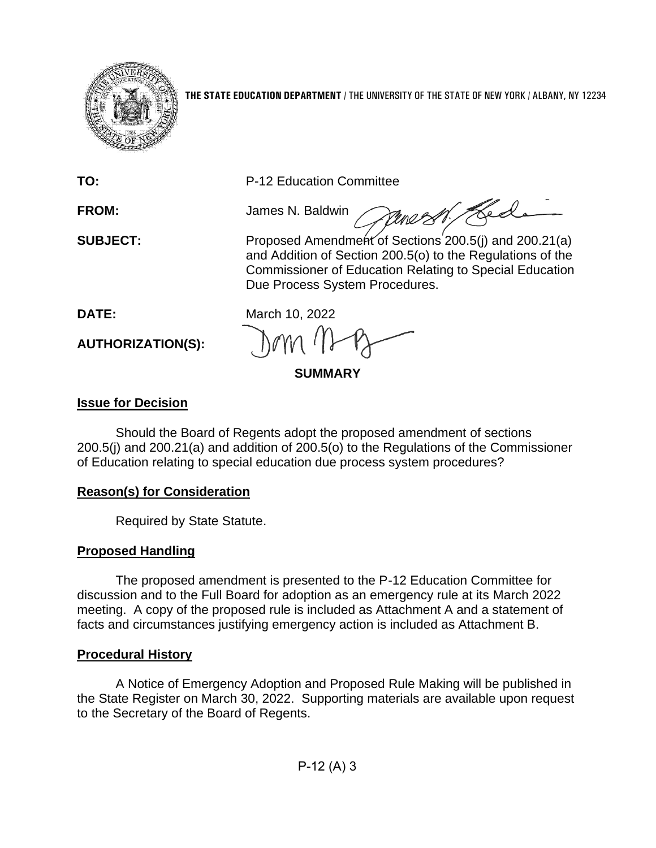

**THE STATE EDUCATION DEPARTMENT** / THE UNIVERSITY OF THE STATE OF NEW YORK / ALBANY, NY 12234

**TO:** P-12 Education Committee

**FROM:** James N. Baldwin

**SUBJECT:** Proposed Amendment of Sections 200.5(j) and 200.21(a) and Addition of Section 200.5(o) to the Regulations of the Commissioner of Education Relating to Special Education Due Process System Procedures.

werst Hed

**AUTHORIZATION(S):**

**DATE:** March 10, 2022

**SUMMARY**

# **Issue for Decision**

Should the Board of Regents adopt the proposed amendment of sections 200.5(j) and 200.21(a) and addition of 200.5(o) to the Regulations of the Commissioner of Education relating to special education due process system procedures?

# **Reason(s) for Consideration**

Required by State Statute.

# **Proposed Handling**

The proposed amendment is presented to the P-12 Education Committee for discussion and to the Full Board for adoption as an emergency rule at its March 2022 meeting. A copy of the proposed rule is included as Attachment A and a statement of facts and circumstances justifying emergency action is included as Attachment B.

# **Procedural History**

A Notice of Emergency Adoption and Proposed Rule Making will be published in the State Register on March 30, 2022. Supporting materials are available upon request to the Secretary of the Board of Regents.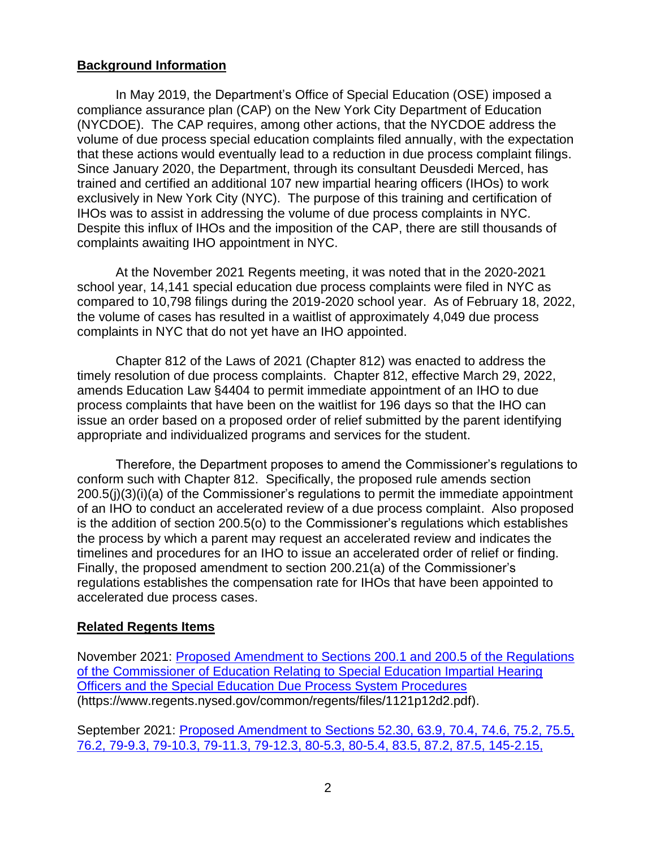#### **Background Information**

In May 2019, the Department's Office of Special Education (OSE) imposed a compliance assurance plan (CAP) on the New York City Department of Education (NYCDOE). The CAP requires, among other actions, that the NYCDOE address the volume of due process special education complaints filed annually, with the expectation that these actions would eventually lead to a reduction in due process complaint filings. Since January 2020, the Department, through its consultant Deusdedi Merced, has trained and certified an additional 107 new impartial hearing officers (IHOs) to work exclusively in New York City (NYC). The purpose of this training and certification of IHOs was to assist in addressing the volume of due process complaints in NYC. Despite this influx of IHOs and the imposition of the CAP, there are still thousands of complaints awaiting IHO appointment in NYC.

At the November 2021 Regents meeting, it was noted that in the 2020-2021 school year, 14,141 special education due process complaints were filed in NYC as compared to 10,798 filings during the 2019-2020 school year. As of February 18, 2022, the volume of cases has resulted in a waitlist of approximately 4,049 due process complaints in NYC that do not yet have an IHO appointed.

Chapter 812 of the Laws of 2021 (Chapter 812) was enacted to address the timely resolution of due process complaints. Chapter 812, effective March 29, 2022, amends Education Law §4404 to permit immediate appointment of an IHO to due process complaints that have been on the waitlist for 196 days so that the IHO can issue an order based on a proposed order of relief submitted by the parent identifying appropriate and individualized programs and services for the student.

Therefore, the Department proposes to amend the Commissioner's regulations to conform such with Chapter 812. Specifically, the proposed rule amends section 200.5(j)(3)(i)(a) of the Commissioner's regulations to permit the immediate appointment of an IHO to conduct an accelerated review of a due process complaint. Also proposed is the addition of section 200.5(o) to the Commissioner's regulations which establishes the process by which a parent may request an accelerated review and indicates the timelines and procedures for an IHO to issue an accelerated order of relief or finding. Finally, the proposed amendment to section 200.21(a) of the Commissioner's regulations establishes the compensation rate for IHOs that have been appointed to accelerated due process cases.

#### **Related Regents Items**

November 2021: [Proposed Amendment to Sections 200.1 and 200.5 of the Regulations](https://www.regents.nysed.gov/common/regents/files/1121p12d2.pdf)  [of the Commissioner of Education Relating to Special Education Impartial Hearing](https://www.regents.nysed.gov/common/regents/files/1121p12d2.pdf)  [Officers and the Special Education Due Process System Procedures](https://www.regents.nysed.gov/common/regents/files/1121p12d2.pdf) (https://www.regents.nysed.gov/common/regents/files/1121p12d2.pdf).

September 2021: [Proposed Amendment to Sections 52.30, 63.9, 70.4, 74.6, 75.2, 75.5,](https://www.regents.nysed.gov/common/regents/files/921brca8.pdf)  [76.2, 79-9.3, 79-10.3, 79-11.3, 79-12.3, 80-5.3, 80-5.4, 83.5, 87.2, 87.5, 145-2.15,](https://www.regents.nysed.gov/common/regents/files/921brca8.pdf)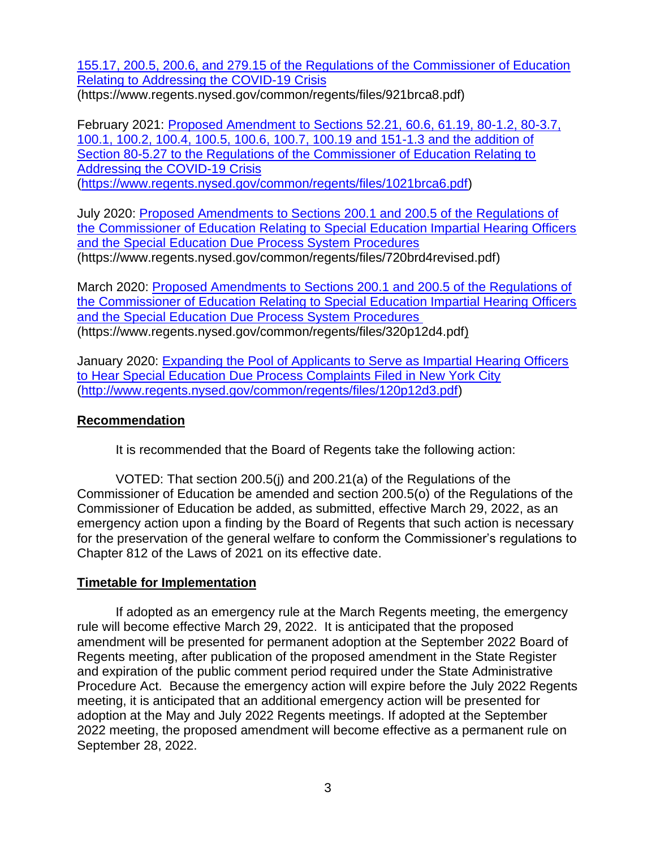[155.17, 200.5, 200.6, and 279.15 of the Regulations of the Commissioner of Education](https://www.regents.nysed.gov/common/regents/files/921brca8.pdf)  [Relating to Addressing the COVID-19 Crisis](https://www.regents.nysed.gov/common/regents/files/921brca8.pdf) (https://www.regents.nysed.gov/common/regents/files/921brca8.pdf)

February 2021: Proposed Amendment [to Sections 52.21, 60.6, 61.19, 80-1.2, 80-3.7,](https://www.regents.nysed.gov/common/regents/files/1021brca6.pdf)  [100.1, 100.2, 100.4, 100.5, 100.6, 100.7, 100.19 and 151-1.3 and the addition of](https://www.regents.nysed.gov/common/regents/files/1021brca6.pdf)  [Section 80-5.27 to the Regulations of the Commissioner of Education Relating to](https://www.regents.nysed.gov/common/regents/files/1021brca6.pdf)  [Addressing the COVID-19 Crisis](https://www.regents.nysed.gov/common/regents/files/1021brca6.pdf) [\(https://www.regents.nysed.gov/common/regents/files/1021brca6.pdf\)](https://www.regents.nysed.gov/common/regents/files/1021brca6.pdf)

July 2020: [Proposed Amendments to Sections 200.1 and 200.5 of the Regulations of](https://www.regents.nysed.gov/common/regents/files/720brd4revised.pdf)  [the Commissioner of Education Relating to Special Education Impartial Hearing Officers](https://www.regents.nysed.gov/common/regents/files/720brd4revised.pdf)  and the Special [Education Due Process System Procedures](https://www.regents.nysed.gov/common/regents/files/720brd4revised.pdf) (https://www.regents.nysed.gov/common/regents/files/720brd4revised.pdf)

March 2020: [Proposed Amendments to Sections 200.1 and 200.5 of](https://www.regents.nysed.gov/common/regents/files/320p12d4.pdf) the Regulations of [the Commissioner of Education Relating to Special Education Impartial Hearing Officers](https://www.regents.nysed.gov/common/regents/files/320p12d4.pdf)  [and the Special Education Due Process System Procedures](https://www.regents.nysed.gov/common/regents/files/320p12d4.pdf) (https://www.regents.nysed.gov/common/regents/files/320p12d4.pdf)

January 2020: [Expanding the Pool of Applicants to Serve as Impartial Hearing Officers](https://www.regents.nysed.gov/common/regents/files/120p12d3.pdf)  [to Hear Special Education Due Process Complaints Filed in New York City](https://www.regents.nysed.gov/common/regents/files/120p12d3.pdf) [\(http://www.regents.nysed.gov/common/regents/files/120p12d3.pdf\)](http://www.regents.nysed.gov/common/regents/files/120p12d3.pdf)

### **Recommendation**

It is recommended that the Board of Regents take the following action:

VOTED: That section 200.5(j) and 200.21(a) of the Regulations of the Commissioner of Education be amended and section 200.5(o) of the Regulations of the Commissioner of Education be added, as submitted, effective March 29, 2022, as an emergency action upon a finding by the Board of Regents that such action is necessary for the preservation of the general welfare to conform the Commissioner's regulations to Chapter 812 of the Laws of 2021 on its effective date.

### **Timetable for Implementation**

If adopted as an emergency rule at the March Regents meeting, the emergency rule will become effective March 29, 2022. It is anticipated that the proposed amendment will be presented for permanent adoption at the September 2022 Board of Regents meeting, after publication of the proposed amendment in the State Register and expiration of the public comment period required under the State Administrative Procedure Act. Because the emergency action will expire before the July 2022 Regents meeting, it is anticipated that an additional emergency action will be presented for adoption at the May and July 2022 Regents meetings. If adopted at the September 2022 meeting, the proposed amendment will become effective as a permanent rule on September 28, 2022.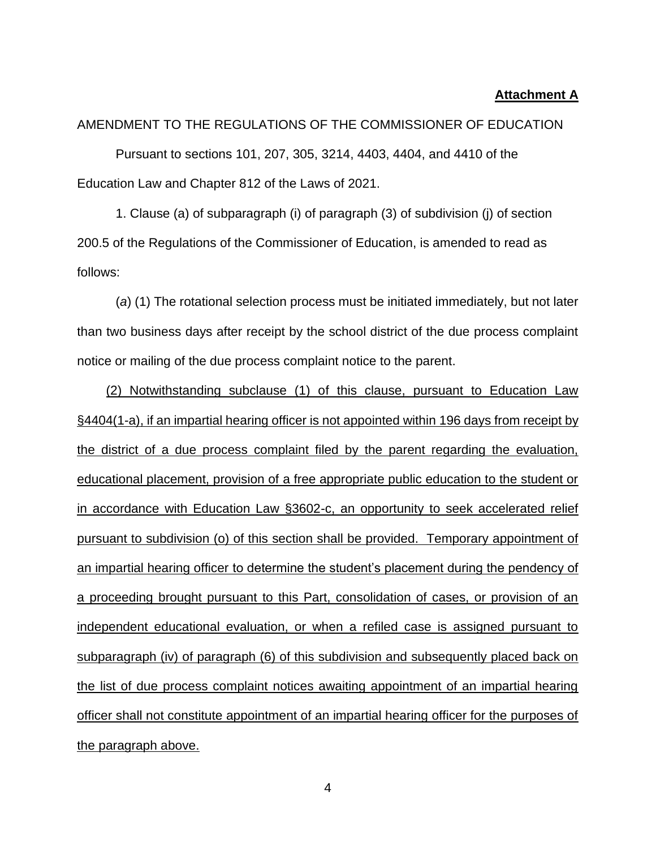#### **Attachment A**

AMENDMENT TO THE REGULATIONS OF THE COMMISSIONER OF EDUCATION

Pursuant to sections 101, 207, 305, 3214, 4403, 4404, and 4410 of the Education Law and Chapter 812 of the Laws of 2021.

1. Clause (a) of subparagraph (i) of paragraph (3) of subdivision (j) of section 200.5 of the Regulations of the Commissioner of Education, is amended to read as follows:

(*a*) (1) The rotational selection process must be initiated immediately, but not later than two business days after receipt by the school district of the due process complaint notice or mailing of the due process complaint notice to the parent.

(2) Notwithstanding subclause (1) of this clause, pursuant to Education Law §4404(1-a), if an impartial hearing officer is not appointed within 196 days from receipt by the district of a due process complaint filed by the parent regarding the evaluation, educational placement, provision of a free appropriate public education to the student or in accordance with Education Law §3602-c, an opportunity to seek accelerated relief pursuant to subdivision (o) of this section shall be provided. Temporary appointment of an impartial hearing officer to determine the student's placement during the pendency of a proceeding brought pursuant to this Part, consolidation of cases, or provision of an independent educational evaluation, or when a refiled case is assigned pursuant to subparagraph (iv) of paragraph (6) of this subdivision and subsequently placed back on the list of due process complaint notices awaiting appointment of an impartial hearing officer shall not constitute appointment of an impartial hearing officer for the purposes of the paragraph above.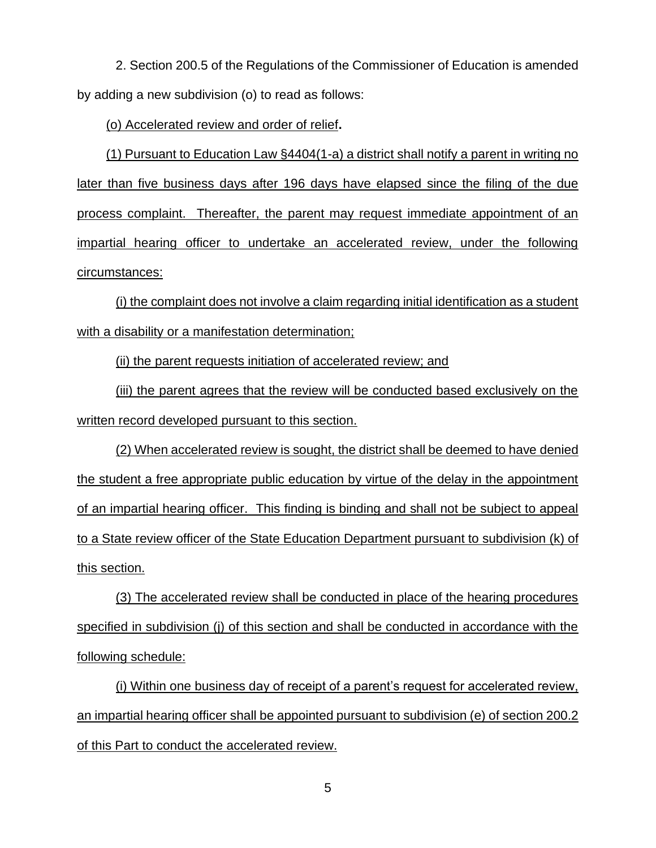2. Section 200.5 of the Regulations of the Commissioner of Education is amended by adding a new subdivision (o) to read as follows:

(o) Accelerated review and order of relief**.**

(1) Pursuant to Education Law §4404(1-a) a district shall notify a parent in writing no later than five business days after 196 days have elapsed since the filing of the due process complaint. Thereafter, the parent may request immediate appointment of an impartial hearing officer to undertake an accelerated review, under the following circumstances:

(i) the complaint does not involve a claim regarding initial identification as a student with a disability or a manifestation determination;

(ii) the parent requests initiation of accelerated review; and

(iii) the parent agrees that the review will be conducted based exclusively on the written record developed pursuant to this section.

(2) When accelerated review is sought, the district shall be deemed to have denied the student a free appropriate public education by virtue of the delay in the appointment of an impartial hearing officer. This finding is binding and shall not be subject to appeal to a State review officer of the State Education Department pursuant to subdivision (k) of this section.

(3) The accelerated review shall be conducted in place of the hearing procedures specified in subdivision (j) of this section and shall be conducted in accordance with the following schedule:

(i) Within one business day of receipt of a parent's request for accelerated review, an impartial hearing officer shall be appointed pursuant to subdivision (e) of section 200.2 of this Part to conduct the accelerated review.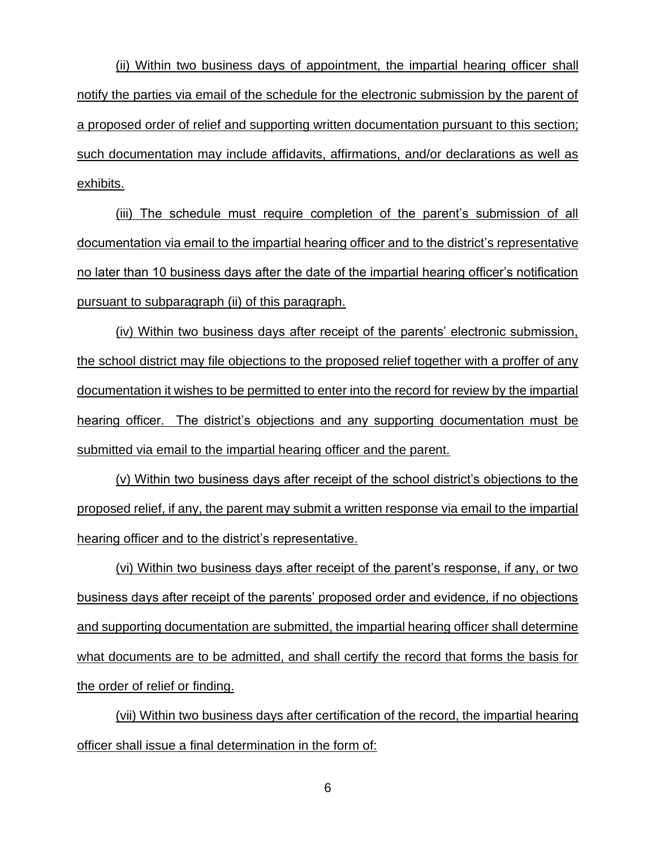(ii) Within two business days of appointment, the impartial hearing officer shall notify the parties via email of the schedule for the electronic submission by the parent of a proposed order of relief and supporting written documentation pursuant to this section; such documentation may include affidavits, affirmations, and/or declarations as well as exhibits.

(iii) The schedule must require completion of the parent's submission of all documentation via email to the impartial hearing officer and to the district's representative no later than 10 business days after the date of the impartial hearing officer's notification pursuant to subparagraph (ii) of this paragraph.

(iv) Within two business days after receipt of the parents' electronic submission, the school district may file objections to the proposed relief together with a proffer of any documentation it wishes to be permitted to enter into the record for review by the impartial hearing officer. The district's objections and any supporting documentation must be submitted via email to the impartial hearing officer and the parent.

(v) Within two business days after receipt of the school district's objections to the proposed relief, if any, the parent may submit a written response via email to the impartial hearing officer and to the district's representative.

(vi) Within two business days after receipt of the parent's response, if any, or two business days after receipt of the parents' proposed order and evidence, if no objections and supporting documentation are submitted, the impartial hearing officer shall determine what documents are to be admitted, and shall certify the record that forms the basis for the order of relief or finding.

(vii) Within two business days after certification of the record, the impartial hearing officer shall issue a final determination in the form of: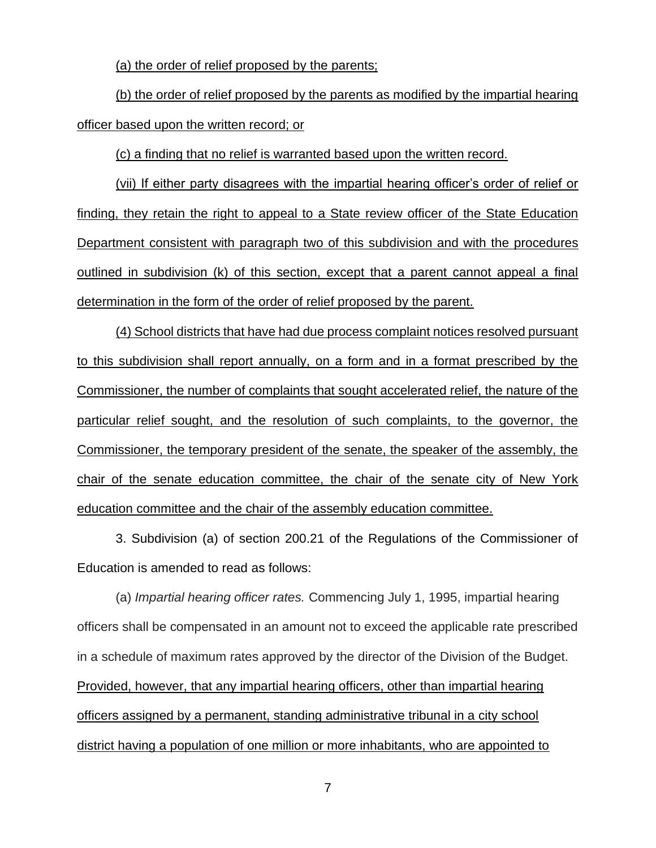(a) the order of relief proposed by the parents;

(b) the order of relief proposed by the parents as modified by the impartial hearing officer based upon the written record; or

(c) a finding that no relief is warranted based upon the written record.

(vii) If either party disagrees with the impartial hearing officer's order of relief or finding, they retain the right to appeal to a State review officer of the State Education Department consistent with paragraph two of this subdivision and with the procedures outlined in subdivision (k) of this section, except that a parent cannot appeal a final determination in the form of the order of relief proposed by the parent.

(4) School districts that have had due process complaint notices resolved pursuant to this subdivision shall report annually, on a form and in a format prescribed by the Commissioner, the number of complaints that sought accelerated relief, the nature of the particular relief sought, and the resolution of such complaints, to the governor, the Commissioner, the temporary president of the senate, the speaker of the assembly, the chair of the senate education committee, the chair of the senate city of New York education committee and the chair of the assembly education committee.

3. Subdivision (a) of section 200.21 of the Regulations of the Commissioner of Education is amended to read as follows:

(a) *Impartial hearing officer rates.* Commencing July 1, 1995, impartial hearing officers shall be compensated in an amount not to exceed the applicable rate prescribed in a schedule of maximum rates approved by the director of the Division of the Budget. Provided, however, that any impartial hearing officers, other than impartial hearing officers assigned by a permanent, standing administrative tribunal in a city school district having a population of one million or more inhabitants, who are appointed to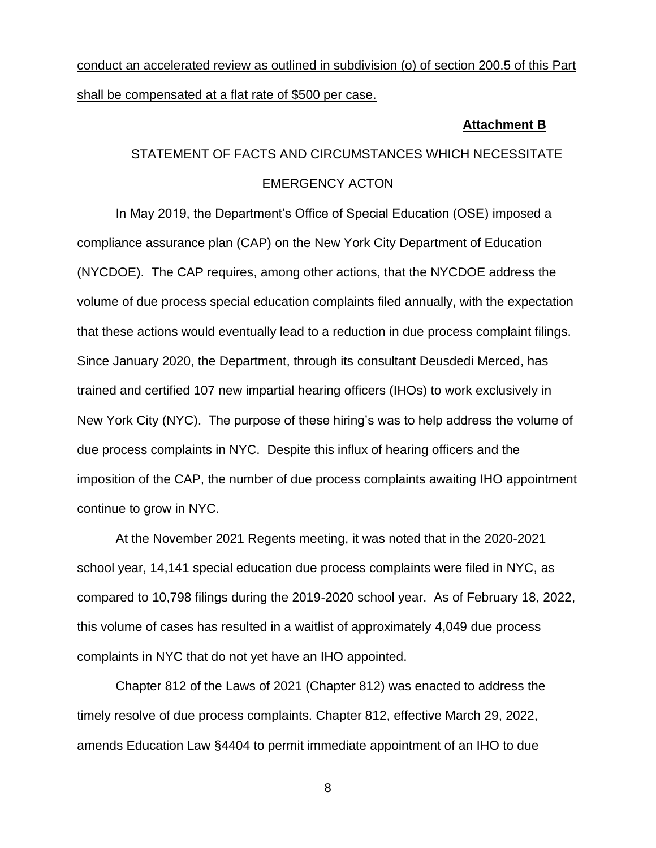# conduct an accelerated review as outlined in subdivision (o) of section 200.5 of this Part shall be compensated at a flat rate of \$500 per case.

#### **Attachment B**

# STATEMENT OF FACTS AND CIRCUMSTANCES WHICH NECESSITATE EMERGENCY ACTON

In May 2019, the Department's Office of Special Education (OSE) imposed a compliance assurance plan (CAP) on the New York City Department of Education (NYCDOE). The CAP requires, among other actions, that the NYCDOE address the volume of due process special education complaints filed annually, with the expectation that these actions would eventually lead to a reduction in due process complaint filings. Since January 2020, the Department, through its consultant Deusdedi Merced, has trained and certified 107 new impartial hearing officers (IHOs) to work exclusively in New York City (NYC). The purpose of these hiring's was to help address the volume of due process complaints in NYC. Despite this influx of hearing officers and the imposition of the CAP, the number of due process complaints awaiting IHO appointment continue to grow in NYC.

At the November 2021 Regents meeting, it was noted that in the 2020-2021 school year, 14,141 special education due process complaints were filed in NYC, as compared to 10,798 filings during the 2019-2020 school year. As of February 18, 2022, this volume of cases has resulted in a waitlist of approximately 4,049 due process complaints in NYC that do not yet have an IHO appointed.

Chapter 812 of the Laws of 2021 (Chapter 812) was enacted to address the timely resolve of due process complaints. Chapter 812, effective March 29, 2022, amends Education Law §4404 to permit immediate appointment of an IHO to due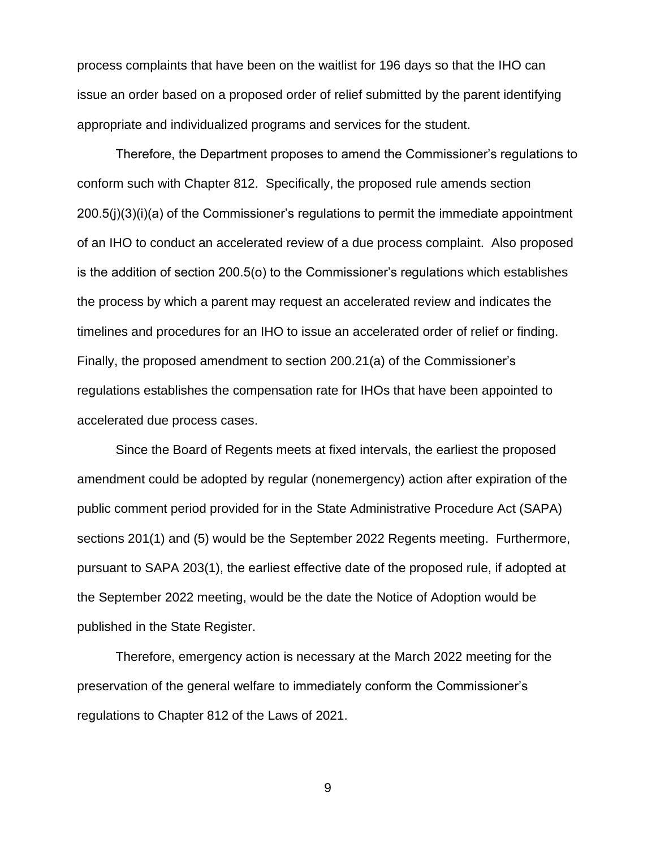process complaints that have been on the waitlist for 196 days so that the IHO can issue an order based on a proposed order of relief submitted by the parent identifying appropriate and individualized programs and services for the student.

Therefore, the Department proposes to amend the Commissioner's regulations to conform such with Chapter 812. Specifically, the proposed rule amends section 200.5(j)(3)(i)(a) of the Commissioner's regulations to permit the immediate appointment of an IHO to conduct an accelerated review of a due process complaint. Also proposed is the addition of section 200.5(o) to the Commissioner's regulations which establishes the process by which a parent may request an accelerated review and indicates the timelines and procedures for an IHO to issue an accelerated order of relief or finding. Finally, the proposed amendment to section 200.21(a) of the Commissioner's regulations establishes the compensation rate for IHOs that have been appointed to accelerated due process cases.

Since the Board of Regents meets at fixed intervals, the earliest the proposed amendment could be adopted by regular (nonemergency) action after expiration of the public comment period provided for in the State Administrative Procedure Act (SAPA) sections 201(1) and (5) would be the September 2022 Regents meeting. Furthermore, pursuant to SAPA 203(1), the earliest effective date of the proposed rule, if adopted at the September 2022 meeting, would be the date the Notice of Adoption would be published in the State Register.

Therefore, emergency action is necessary at the March 2022 meeting for the preservation of the general welfare to immediately conform the Commissioner's regulations to Chapter 812 of the Laws of 2021.